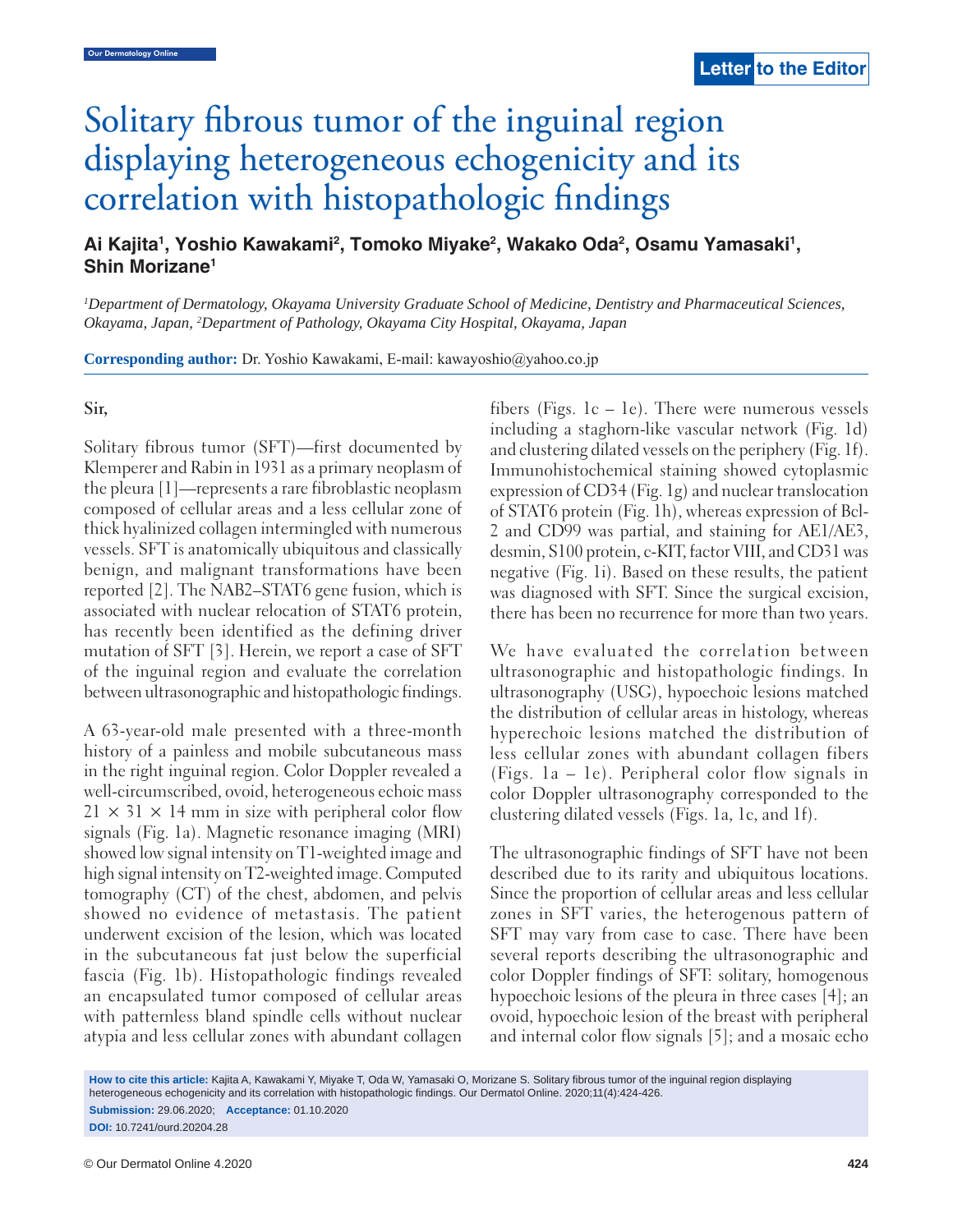# Solitary fibrous tumor of the inguinal region displaying heterogeneous echogenicity and its correlation with histopathologic findings

Ai Kajita<sup>1</sup>, Yoshio Kawakami<sup>2</sup>, Tomoko Miyake<sup>2</sup>, Wakako Oda<sup>2</sup>, Osamu Yamasaki<sup>1</sup>, **Shin Morizane1**

*1 Department of Dermatology, Okayama University Graduate School of Medicine, Dentistry and Pharmaceutical Sciences, Okayama, Japan, 2 Department of Pathology, Okayama City Hospital, Okayama, Japan*

**Corresponding author:** Dr. Yoshio Kawakami, E-mail: kawayoshio@yahoo.co.jp

### **Sir,**

Solitary fibrous tumor (SFT)—first documented by Klemperer and Rabin in 1931 as a primary neoplasm of the pleura [1]—represents a rare fibroblastic neoplasm composed of cellular areas and a less cellular zone of thick hyalinized collagen intermingled with numerous vessels. SFT is anatomically ubiquitous and classically benign, and malignant transformations have been reported [2]. The NAB2–STAT6 gene fusion, which is associated with nuclear relocation of STAT6 protein, has recently been identified as the defining driver mutation of SFT [3]. Herein, we report a case of SFT of the inguinal region and evaluate the correlation between ultrasonographic and histopathologic findings.

A 63-year-old male presented with a three-month history of a painless and mobile subcutaneous mass in the right inguinal region. Color Doppler revealed a well-circumscribed, ovoid, heterogeneous echoic mass  $21 \times 31 \times 14$  mm in size with peripheral color flow signals (Fig. 1a). Magnetic resonance imaging (MRI) showed low signal intensity on T1-weighted image and high signal intensity on T2-weighted image. Computed tomography (CT) of the chest, abdomen, and pelvis showed no evidence of metastasis. The patient underwent excision of the lesion, which was located in the subcutaneous fat just below the superficial fascia (Fig. 1b). Histopathologic findings revealed an encapsulated tumor composed of cellular areas with patternless bland spindle cells without nuclear atypia and less cellular zones with abundant collagen fibers (Figs.  $1c - 1e$ ). There were numerous vessels including a staghorn-like vascular network (Fig. 1d) and clustering dilated vessels on the periphery (Fig. 1f). Immunohistochemical staining showed cytoplasmic expression of CD34 (Fig. 1g) and nuclear translocation of STAT6 protein (Fig. 1h), whereas expression of Bcl-2 and CD99 was partial, and staining for AE1/AE3, desmin, S100 protein, c-KIT, factor VIII, and CD31 was negative (Fig. 1i). Based on these results, the patient was diagnosed with SFT. Since the surgical excision, there has been no recurrence for more than two years.

We have evaluated the correlation between ultrasonographic and histopathologic findings. In ultrasonography (USG), hypoechoic lesions matched the distribution of cellular areas in histology, whereas hyperechoic lesions matched the distribution of less cellular zones with abundant collagen fibers (Figs. 1a – 1e). Peripheral color flow signals in color Doppler ultrasonography corresponded to the clustering dilated vessels (Figs. 1a, 1c, and 1f).

 The ultrasonographic findings of SFT have not been described due to its rarity and ubiquitous locations. Since the proportion of cellular areas and less cellular zones in SFT varies, the heterogenous pattern of SFT may vary from case to case. There have been several reports describing the ultrasonographic and color Doppler findings of SFT: solitary, homogenous hypoechoic lesions of the pleura in three cases [4]; an ovoid, hypoechoic lesion of the breast with peripheral and internal color flow signals [5]; and a mosaic echo

How to cite this article: Kajita A, Kawakami Y, Miyake T, Oda W, Yamasaki O, Morizane S. Solitary fibrous tumor of the inguinal region displaying heterogeneous echogenicity and its correlation with histopathologic findings. Our Dermatol Online. 2020;11(4):424-426. **Submission:** 29.06.2020; **Acceptance:** 01.10.2020 **DOI:** 10.7241/ourd.20204.28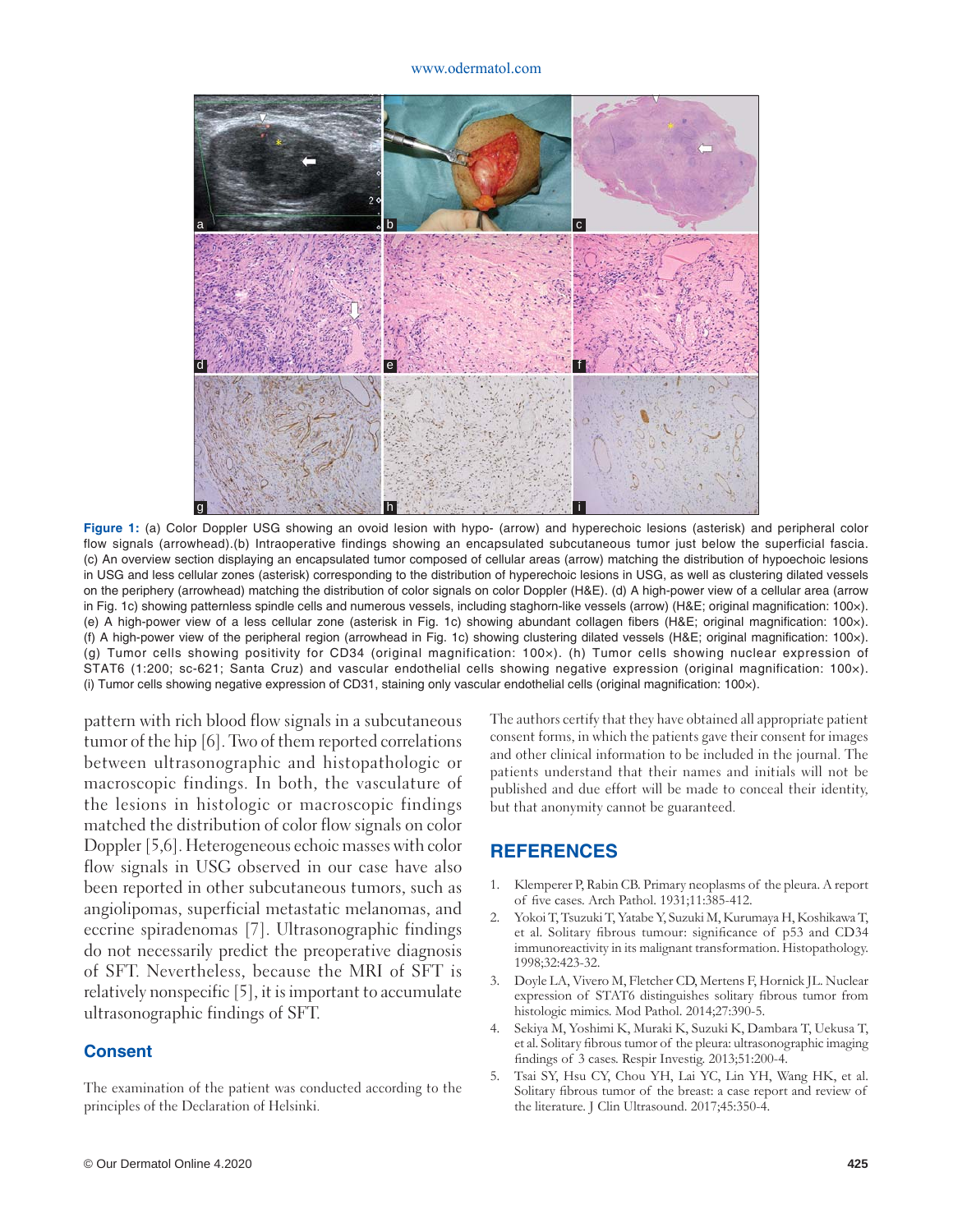#### www.odermatol.com



**Figure 1:** (a) Color Doppler USG showing an ovoid lesion with hypo- (arrow) and hyperechoic lesions (asterisk) and peripheral color flow signals (arrowhead).(b) Intraoperative findings showing an encapsulated subcutaneous tumor just below the superficial fascia. (c) An overview section displaying an encapsulated tumor composed of cellular areas (arrow) matching the distribution of hypoechoic lesions in USG and less cellular zones (asterisk) corresponding to the distribution of hyperechoic lesions in USG, as well as clustering dilated vessels on the periphery (arrowhead) matching the distribution of color signals on color Doppler (H&E). (d) A high-power view of a cellular area (arrow in Fig. 1c) showing patternless spindle cells and numerous vessels, including staghorn-like vessels (arrow) (H&E; original magnification: 100x). (e) A high-power view of a less cellular zone (asterisk in Fig. 1c) showing abundant collagen fibers (H&E; original magnification: 100x). (f) A high-power view of the peripheral region (arrowhead in Fig. 1c) showing clustering dilated vessels (H&E; original magnification: 100x). (g) Tumor cells showing positivity for CD34 (original magnification: 100×). (h) Tumor cells showing nuclear expression of STAT6 (1:200; sc-621; Santa Cruz) and vascular endothelial cells showing negative expression (original magnification: 100×). (i) Tumor cells showing negative expression of CD31, staining only vascular endothelial cells (original magnification: 100x).

pattern with rich blood flow signals in a subcutaneous tumor of the hip [6]. Two of them reported correlations between ultrasonographic and histopathologic or macroscopic findings. In both, the vasculature of the lesions in histologic or macroscopic findings matched the distribution of color flow signals on color Doppler [5,6]. Heterogeneous echoic masses with color flow signals in USG observed in our case have also been reported in other subcutaneous tumors, such as angiolipomas, superficial metastatic melanomas, and eccrine spiradenomas [7]. Ultrasonographic findings do not necessarily predict the preoperative diagnosis of SFT. Nevertheless, because the MRI of SFT is relatively nonspecific [5], it is important to accumulate ultrasonographic findings of SFT.

## **Consent**

The examination of the patient was conducted according to the principles of the Declaration of Helsinki.

The authors certify that they have obtained all appropriate patient consent forms, in which the patients gave their consent for images and other clinical information to be included in the journal. The patients understand that their names and initials will not be published and due effort will be made to conceal their identity, but that anonymity cannot be guaranteed.

## **REFERENCES**

- 1. Klemperer P, Rabin CB. Primary neoplasms of the pleura. A report of five cases. Arch Pathol. 1931;11:385-412.
- 2. Yokoi T, Tsuzuki T, Yatabe Y, Suzuki M, Kurumaya H, Koshikawa T, et al. Solitary fibrous tumour: significance of p53 and CD34 immunoreactivity in its malignant transformation. Histopathology. 1998;32:423-32.
- 3. Doyle LA, Vivero M, Fletcher CD, Mertens F, Hornick JL. Nuclear expression of STAT6 distinguishes solitary fibrous tumor from histologic mimics. Mod Pathol. 2014;27:390-5.
- 4. Sekiya M, Yoshimi K, Muraki K, Suzuki K, Dambara T, Uekusa T, et al. Solitary fibrous tumor of the pleura: ultrasonographic imaging findings of 3 cases. Respir Investig. 2013;51:200-4.
- 5. Tsai SY, Hsu CY, Chou YH, Lai YC, Lin YH, Wang HK, et al. Solitary fibrous tumor of the breast: a case report and review of the literature. J Clin Ultrasound. 2017;45:350-4.